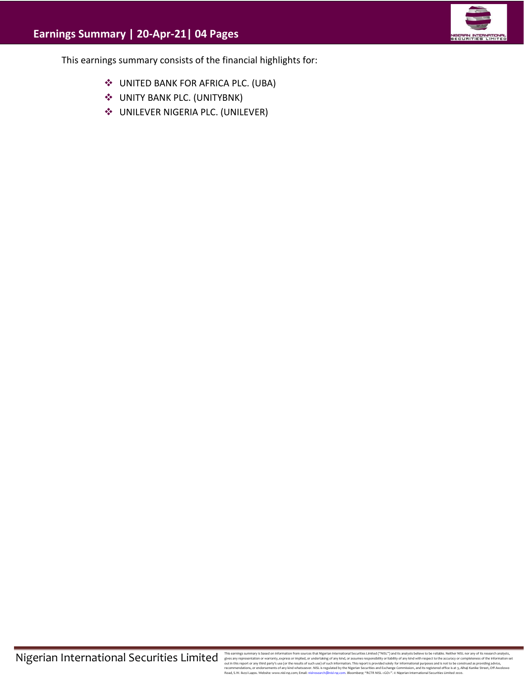

This earnings summary consists of the financial highlights for:

- ❖ UNITED BANK FOR AFRICA PLC. (UBA)
- ❖ UNITY BANK PLC. (UNITYBNK)
- ❖ UNILEVER NIGERIA PLC. (UNILEVER)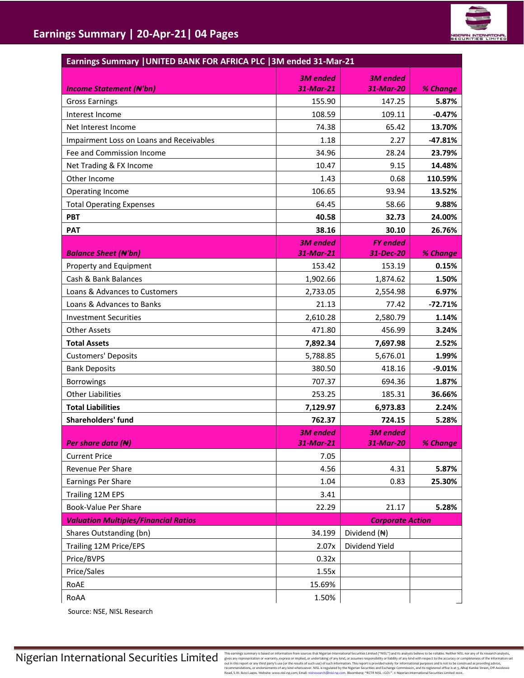

| Earnings Summary   UNITED BANK FOR AFRICA PLC   3M ended 31-Mar-21 |                              |                              |           |  |  |  |
|--------------------------------------------------------------------|------------------------------|------------------------------|-----------|--|--|--|
| <b>Income Statement (N'bn)</b>                                     | <b>3M</b> ended<br>31-Mar-21 | <b>3M</b> ended<br>31-Mar-20 | % Change  |  |  |  |
| <b>Gross Earnings</b>                                              | 155.90                       | 147.25                       | 5.87%     |  |  |  |
| Interest Income                                                    | 108.59                       | 109.11                       | $-0.47%$  |  |  |  |
| Net Interest Income                                                | 74.38                        | 65.42                        | 13.70%    |  |  |  |
| Impairment Loss on Loans and Receivables                           | 1.18                         | 2.27                         | $-47.81%$ |  |  |  |
| Fee and Commission Income                                          | 34.96                        | 28.24                        | 23.79%    |  |  |  |
| Net Trading & FX Income                                            | 10.47                        | 9.15                         | 14.48%    |  |  |  |
| Other Income                                                       | 1.43                         | 0.68                         | 110.59%   |  |  |  |
| Operating Income                                                   | 106.65                       | 93.94                        | 13.52%    |  |  |  |
| <b>Total Operating Expenses</b>                                    | 64.45                        | 58.66                        | 9.88%     |  |  |  |
| <b>PBT</b>                                                         | 40.58                        | 32.73                        | 24.00%    |  |  |  |
| <b>PAT</b>                                                         | 38.16                        | 30.10                        | 26.76%    |  |  |  |
|                                                                    | <b>3M</b> ended              | <b>FY</b> ended              |           |  |  |  |
| <b>Balance Sheet (N'bn)</b>                                        | 31-Mar-21                    | 31-Dec-20                    | % Change  |  |  |  |
| Property and Equipment                                             | 153.42                       | 153.19                       | 0.15%     |  |  |  |
| Cash & Bank Balances                                               | 1,902.66                     | 1,874.62                     | 1.50%     |  |  |  |
| Loans & Advances to Customers                                      | 2,733.05                     | 2,554.98                     | 6.97%     |  |  |  |
| Loans & Advances to Banks                                          | 21.13                        | 77.42                        | $-72.71%$ |  |  |  |
| <b>Investment Securities</b>                                       | 2,610.28                     | 2,580.79                     | 1.14%     |  |  |  |
| <b>Other Assets</b>                                                | 471.80                       | 456.99                       | 3.24%     |  |  |  |
| <b>Total Assets</b>                                                | 7,892.34                     | 7,697.98                     | 2.52%     |  |  |  |
| <b>Customers' Deposits</b>                                         | 5,788.85                     | 5,676.01                     | 1.99%     |  |  |  |
| <b>Bank Deposits</b>                                               | 380.50                       | 418.16                       | $-9.01%$  |  |  |  |
| <b>Borrowings</b>                                                  | 707.37                       | 694.36                       | 1.87%     |  |  |  |
| <b>Other Liabilities</b>                                           | 253.25                       | 185.31                       | 36.66%    |  |  |  |
| <b>Total Liabilities</b>                                           | 7,129.97                     | 6,973.83                     | 2.24%     |  |  |  |
| Shareholders' fund                                                 | 762.37                       | 724.15                       | 5.28%     |  |  |  |
| Per share data ( <del>N</del> )                                    | <b>3M</b> ended<br>31-Mar-21 | <b>3M</b> ended<br>31-Mar-20 | % Change  |  |  |  |
| <b>Current Price</b>                                               | 7.05                         |                              |           |  |  |  |
| Revenue Per Share                                                  | 4.56                         | 4.31                         | 5.87%     |  |  |  |
| Earnings Per Share                                                 | 1.04                         | 0.83                         | 25.30%    |  |  |  |
| Trailing 12M EPS                                                   | 3.41                         |                              |           |  |  |  |
| <b>Book-Value Per Share</b>                                        | 22.29                        | 21.17                        | 5.28%     |  |  |  |
| <b>Valuation Multiples/Financial Ratios</b>                        |                              | <b>Corporate Action</b>      |           |  |  |  |
| Shares Outstanding (bn)                                            | 34.199                       | Dividend (N)                 |           |  |  |  |
| Trailing 12M Price/EPS                                             | 2.07x                        | Dividend Yield               |           |  |  |  |
| Price/BVPS                                                         | 0.32x                        |                              |           |  |  |  |
| Price/Sales                                                        | 1.55x                        |                              |           |  |  |  |
| RoAE                                                               | 15.69%                       |                              |           |  |  |  |
| RoAA                                                               | 1.50%                        |                              |           |  |  |  |

Source: NSE, NISL Research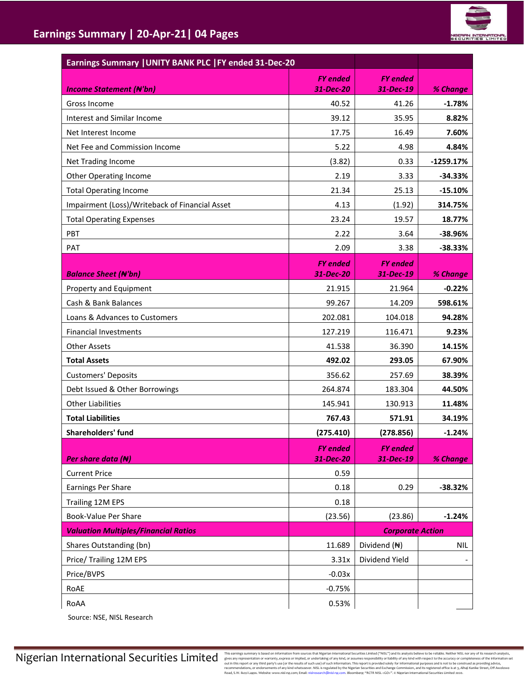| Earnings Summary   UNITY BANK PLC   FY ended 31-Dec-20 |                 |                         |             |
|--------------------------------------------------------|-----------------|-------------------------|-------------|
|                                                        | <b>FY</b> ended | <b>FY</b> ended         |             |
| <b>Income Statement (N'bn)</b>                         | 31-Dec-20       | 31-Dec-19               | % Change    |
| Gross Income                                           | 40.52           | 41.26                   | $-1.78%$    |
| Interest and Similar Income                            | 39.12           | 35.95                   | 8.82%       |
| Net Interest Income                                    | 17.75           | 16.49                   | 7.60%       |
| Net Fee and Commission Income                          | 5.22            | 4.98                    | 4.84%       |
| Net Trading Income                                     | (3.82)          | 0.33                    | $-1259.17%$ |
| Other Operating Income                                 | 2.19            | 3.33                    | $-34.33%$   |
| <b>Total Operating Income</b>                          | 21.34           | 25.13                   | $-15.10%$   |
| Impairment (Loss)/Writeback of Financial Asset         | 4.13            | (1.92)                  | 314.75%     |
| <b>Total Operating Expenses</b>                        | 23.24           | 19.57                   | 18.77%      |
| PBT                                                    | 2.22            | 3.64                    | $-38.96%$   |
| PAT                                                    | 2.09            | 3.38                    | $-38.33%$   |
|                                                        | <b>FY</b> ended | <b>FY</b> ended         |             |
| <b>Balance Sheet (N'bn)</b>                            | 31-Dec-20       | 31-Dec-19               | % Change    |
| Property and Equipment                                 | 21.915          | 21.964                  | $-0.22%$    |
| Cash & Bank Balances                                   | 99.267          | 14.209                  | 598.61%     |
| Loans & Advances to Customers                          | 202.081         | 104.018                 | 94.28%      |
| <b>Financial Investments</b>                           | 127.219         | 116.471                 | 9.23%       |
| <b>Other Assets</b>                                    | 41.538          | 36.390                  | 14.15%      |
| <b>Total Assets</b>                                    | 492.02          | 293.05                  | 67.90%      |
| <b>Customers' Deposits</b>                             | 356.62          | 257.69                  | 38.39%      |
| Debt Issued & Other Borrowings                         | 264.874         | 183.304                 | 44.50%      |
| <b>Other Liabilities</b>                               | 145.941         | 130.913                 | 11.48%      |
| <b>Total Liabilities</b>                               | 767.43          | 571.91                  | 34.19%      |
| Shareholders' fund                                     | (275.410)       | (278.856)               | $-1.24%$    |
|                                                        | <b>FY</b> ended | <b>FY</b> ended         |             |
| Per share data $(H)$                                   | 31-Dec-20       | 31-Dec-19               | % Change    |
| <b>Current Price</b>                                   | 0.59            |                         |             |
| Earnings Per Share                                     | 0.18            | 0.29                    | $-38.32%$   |
| Trailing 12M EPS                                       | 0.18            |                         |             |
| Book-Value Per Share                                   | (23.56)         | (23.86)                 | $-1.24%$    |
| <b>Valuation Multiples/Financial Ratios</b>            |                 | <b>Corporate Action</b> |             |
| Shares Outstanding (bn)                                | 11.689          | Dividend (N)            | NIL         |
| Price/ Trailing 12M EPS                                | 3.31x           | Dividend Yield          |             |
| Price/BVPS                                             | $-0.03x$        |                         |             |
| RoAE                                                   | $-0.75%$        |                         |             |
| RoAA                                                   | 0.53%           |                         |             |

Source: NSE, NISL Research